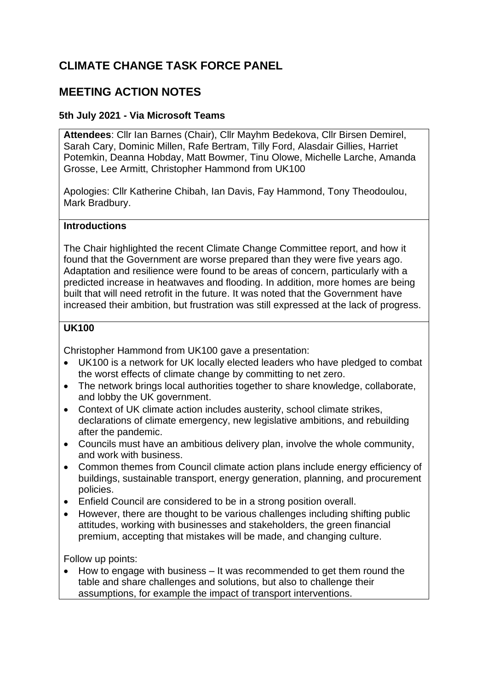# **CLIMATE CHANGE TASK FORCE PANEL**

# **MEETING ACTION NOTES**

### **5th July 2021 - Via Microsoft Teams**

**Attendees**: Cllr Ian Barnes (Chair), Cllr Mayhm Bedekova, Cllr Birsen Demirel, Sarah Cary, Dominic Millen, Rafe Bertram, Tilly Ford, Alasdair Gillies, Harriet Potemkin, Deanna Hobday, Matt Bowmer, Tinu Olowe, Michelle Larche, Amanda Grosse, Lee Armitt, Christopher Hammond from UK100

Apologies: Cllr Katherine Chibah, Ian Davis, Fay Hammond, Tony Theodoulou, Mark Bradbury.

#### **Introductions**

The Chair highlighted the recent Climate Change Committee report, and how it found that the Government are worse prepared than they were five years ago. Adaptation and resilience were found to be areas of concern, particularly with a predicted increase in heatwaves and flooding. In addition, more homes are being built that will need retrofit in the future. It was noted that the Government have increased their ambition, but frustration was still expressed at the lack of progress.

#### **UK100**

Christopher Hammond from UK100 gave a presentation:

- UK100 is a network for UK locally elected leaders who have pledged to combat the worst effects of climate change by committing to net zero.
- The network brings local authorities together to share knowledge, collaborate, and lobby the UK government.
- Context of UK climate action includes austerity, school climate strikes, declarations of climate emergency, new legislative ambitions, and rebuilding after the pandemic.
- Councils must have an ambitious delivery plan, involve the whole community, and work with business.
- Common themes from Council climate action plans include energy efficiency of buildings, sustainable transport, energy generation, planning, and procurement policies.
- Enfield Council are considered to be in a strong position overall.
- However, there are thought to be various challenges including shifting public attitudes, working with businesses and stakeholders, the green financial premium, accepting that mistakes will be made, and changing culture.

Follow up points:

• How to engage with business – It was recommended to get them round the table and share challenges and solutions, but also to challenge their assumptions, for example the impact of transport interventions.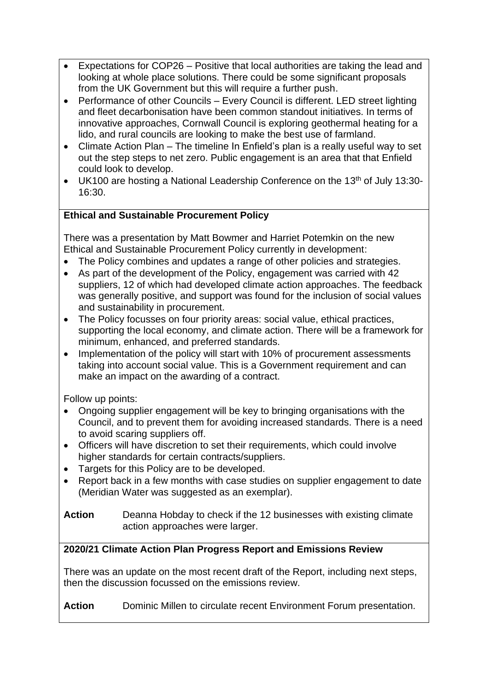- Expectations for COP26 Positive that local authorities are taking the lead and looking at whole place solutions. There could be some significant proposals from the UK Government but this will require a further push.
- Performance of other Councils Every Council is different. LED street lighting and fleet decarbonisation have been common standout initiatives. In terms of innovative approaches, Cornwall Council is exploring geothermal heating for a lido, and rural councils are looking to make the best use of farmland.
- Climate Action Plan The timeline In Enfield's plan is a really useful way to set out the step steps to net zero. Public engagement is an area that that Enfield could look to develop.
- UK100 are hosting a National Leadership Conference on the 13<sup>th</sup> of July 13:30-16:30.

# **Ethical and Sustainable Procurement Policy**

There was a presentation by Matt Bowmer and Harriet Potemkin on the new Ethical and Sustainable Procurement Policy currently in development:

- The Policy combines and updates a range of other policies and strategies.
- As part of the development of the Policy, engagement was carried with 42 suppliers, 12 of which had developed climate action approaches. The feedback was generally positive, and support was found for the inclusion of social values and sustainability in procurement.
- The Policy focusses on four priority areas: social value, ethical practices, supporting the local economy, and climate action. There will be a framework for minimum, enhanced, and preferred standards.
- Implementation of the policy will start with 10% of procurement assessments taking into account social value. This is a Government requirement and can make an impact on the awarding of a contract.

Follow up points:

- Ongoing supplier engagement will be key to bringing organisations with the Council, and to prevent them for avoiding increased standards. There is a need to avoid scaring suppliers off.
- Officers will have discretion to set their requirements, which could involve higher standards for certain contracts/suppliers.
- Targets for this Policy are to be developed.
- Report back in a few months with case studies on supplier engagement to date (Meridian Water was suggested as an exemplar).

**Action** Deanna Hobday to check if the 12 businesses with existing climate action approaches were larger.

# **2020/21 Climate Action Plan Progress Report and Emissions Review**

There was an update on the most recent draft of the Report, including next steps, then the discussion focussed on the emissions review.

Action Dominic Millen to circulate recent Environment Forum presentation.